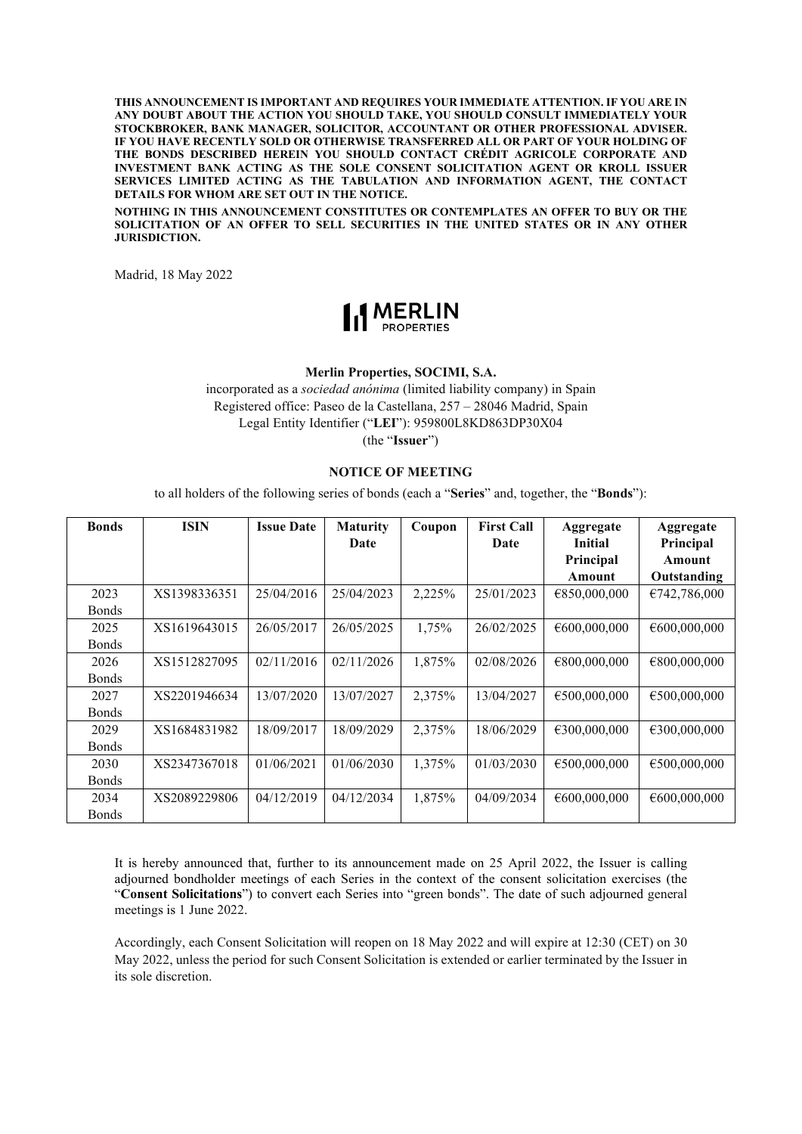**THIS ANNOUNCEMENT IS IMPORTANT AND REQUIRES YOUR IMMEDIATE ATTENTION. IF YOU ARE IN ANY DOUBT ABOUT THE ACTION YOU SHOULD TAKE, YOU SHOULD CONSULT IMMEDIATELY YOUR STOCKBROKER, BANK MANAGER, SOLICITOR, ACCOUNTANT OR OTHER PROFESSIONAL ADVISER. IF YOU HAVE RECENTLY SOLD OR OTHERWISE TRANSFERRED ALL OR PART OF YOUR HOLDING OF THE BONDS DESCRIBED HEREIN YOU SHOULD CONTACT CRÉDIT AGRICOLE CORPORATE AND INVESTMENT BANK ACTING AS THE SOLE CONSENT SOLICITATION AGENT OR KROLL ISSUER SERVICES LIMITED ACTING AS THE TABULATION AND INFORMATION AGENT, THE CONTACT DETAILS FOR WHOM ARE SET OUT IN THE NOTICE.**

**NOTHING IN THIS ANNOUNCEMENT CONSTITUTES OR CONTEMPLATES AN OFFER TO BUY OR THE SOLICITATION OF AN OFFER TO SELL SECURITIES IN THE UNITED STATES OR IN ANY OTHER JURISDICTION.**

Madrid, 18 May 2022



#### **Merlin Properties, SOCIMI, S.A.**

incorporated as a *sociedad anónima* (limited liability company) in Spain Registered office: Paseo de la Castellana, 257 – 28046 Madrid, Spain Legal Entity Identifier ("**LEI**"): 959800L8KD863DP30X04 (the "**Issuer**")

### **NOTICE OF MEETING**

to all holders of the following series of bonds (each a "**Series**" and, together, the "**Bonds**"):

| <b>Bonds</b> | <b>ISIN</b>  | <b>Issue Date</b> | <b>Maturity</b> | Coupon | <b>First Call</b> | Aggregate      | Aggregate    |
|--------------|--------------|-------------------|-----------------|--------|-------------------|----------------|--------------|
|              |              |                   | Date            |        | Date              | <b>Initial</b> | Principal    |
|              |              |                   |                 |        |                   | Principal      | Amount       |
|              |              |                   |                 |        |                   | Amount         | Outstanding  |
| 2023         | XS1398336351 | 25/04/2016        | 25/04/2023      | 2,225% | 25/01/2023        | €850,000,000   | €742,786,000 |
| <b>Bonds</b> |              |                   |                 |        |                   |                |              |
| 2025         | XS1619643015 | 26/05/2017        | 26/05/2025      | 1,75%  | 26/02/2025        | €600,000,000   | €600,000,000 |
| <b>Bonds</b> |              |                   |                 |        |                   |                |              |
| 2026         | XS1512827095 | 02/11/2016        | 02/11/2026      | 1,875% | 02/08/2026        | €800,000,000   | €800,000,000 |
| <b>Bonds</b> |              |                   |                 |        |                   |                |              |
| 2027         | XS2201946634 | 13/07/2020        | 13/07/2027      | 2,375% | 13/04/2027        | €500,000,000   | €500,000,000 |
| <b>Bonds</b> |              |                   |                 |        |                   |                |              |
| 2029         | XS1684831982 | 18/09/2017        | 18/09/2029      | 2,375% | 18/06/2029        | €300,000,000   | €300,000,000 |
| <b>Bonds</b> |              |                   |                 |        |                   |                |              |
| 2030         | XS2347367018 | 01/06/2021        | 01/06/2030      | 1,375% | 01/03/2030        | €500,000,000   | €500,000,000 |
| <b>Bonds</b> |              |                   |                 |        |                   |                |              |
| 2034         | XS2089229806 | 04/12/2019        | 04/12/2034      | 1,875% | 04/09/2034        | €600,000,000   | €600,000,000 |
| <b>Bonds</b> |              |                   |                 |        |                   |                |              |

It is hereby announced that, further to its announcement made on 25 April 2022, the Issuer is calling adjourned bondholder meetings of each Series in the context of the consent solicitation exercises (the "**Consent Solicitations**") to convert each Series into "green bonds". The date of such adjourned general meetings is 1 June 2022.

Accordingly, each Consent Solicitation will reopen on 18 May 2022 and will expire at 12:30 (CET) on 30 May 2022, unless the period for such Consent Solicitation is extended or earlier terminated by the Issuer in its sole discretion.